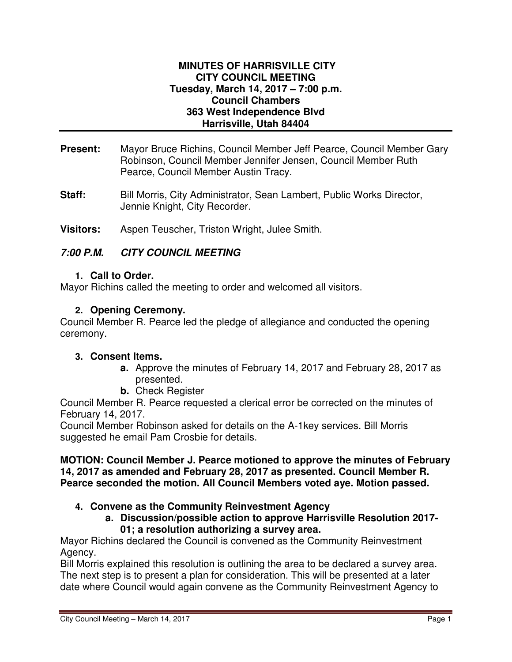### **MINUTES OF HARRISVILLE CITY CITY COUNCIL MEETING Tuesday, March 14, 2017 – 7:00 p.m. Council Chambers 363 West Independence Blvd Harrisville, Utah 84404**

- **Present:** Mayor Bruce Richins, Council Member Jeff Pearce, Council Member Gary Robinson, Council Member Jennifer Jensen, Council Member Ruth Pearce, Council Member Austin Tracy.
- **Staff:** Bill Morris, City Administrator, Sean Lambert, Public Works Director, Jennie Knight, City Recorder.
- **Visitors:** Aspen Teuscher, Triston Wright, Julee Smith.

# **7:00 P.M. CITY COUNCIL MEETING**

### **1. Call to Order.**

Mayor Richins called the meeting to order and welcomed all visitors.

# **2. Opening Ceremony.**

Council Member R. Pearce led the pledge of allegiance and conducted the opening ceremony.

# **3. Consent Items.**

- **a.** Approve the minutes of February 14, 2017 and February 28, 2017 as presented.
- **b.** Check Register

Council Member R. Pearce requested a clerical error be corrected on the minutes of February 14, 2017.

Council Member Robinson asked for details on the A-1key services. Bill Morris suggested he email Pam Crosbie for details.

### **MOTION: Council Member J. Pearce motioned to approve the minutes of February 14, 2017 as amended and February 28, 2017 as presented. Council Member R. Pearce seconded the motion. All Council Members voted aye. Motion passed.**

# **4. Convene as the Community Reinvestment Agency**

**a. Discussion/possible action to approve Harrisville Resolution 2017- 01; a resolution authorizing a survey area.** 

Mayor Richins declared the Council is convened as the Community Reinvestment Agency.

Bill Morris explained this resolution is outlining the area to be declared a survey area. The next step is to present a plan for consideration. This will be presented at a later date where Council would again convene as the Community Reinvestment Agency to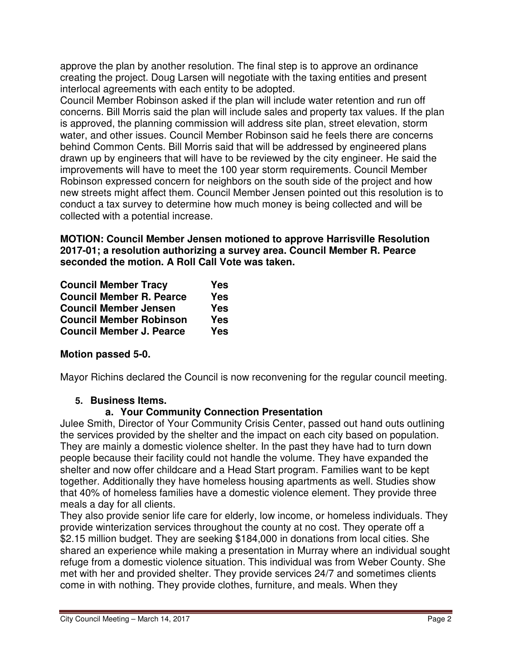approve the plan by another resolution. The final step is to approve an ordinance creating the project. Doug Larsen will negotiate with the taxing entities and present interlocal agreements with each entity to be adopted.

Council Member Robinson asked if the plan will include water retention and run off concerns. Bill Morris said the plan will include sales and property tax values. If the plan is approved, the planning commission will address site plan, street elevation, storm water, and other issues. Council Member Robinson said he feels there are concerns behind Common Cents. Bill Morris said that will be addressed by engineered plans drawn up by engineers that will have to be reviewed by the city engineer. He said the improvements will have to meet the 100 year storm requirements. Council Member Robinson expressed concern for neighbors on the south side of the project and how new streets might affect them. Council Member Jensen pointed out this resolution is to conduct a tax survey to determine how much money is being collected and will be collected with a potential increase.

**MOTION: Council Member Jensen motioned to approve Harrisville Resolution 2017-01; a resolution authorizing a survey area. Council Member R. Pearce seconded the motion. A Roll Call Vote was taken.** 

| <b>Council Member Tracy</b>     | <b>Yes</b> |
|---------------------------------|------------|
| <b>Council Member R. Pearce</b> | <b>Yes</b> |
| <b>Council Member Jensen</b>    | <b>Yes</b> |
| <b>Council Member Robinson</b>  | <b>Yes</b> |
| <b>Council Member J. Pearce</b> | <b>Yes</b> |

# **Motion passed 5-0.**

Mayor Richins declared the Council is now reconvening for the regular council meeting.

# **5. Business Items.**

### **a. Your Community Connection Presentation**

Julee Smith, Director of Your Community Crisis Center, passed out hand outs outlining the services provided by the shelter and the impact on each city based on population. They are mainly a domestic violence shelter. In the past they have had to turn down people because their facility could not handle the volume. They have expanded the shelter and now offer childcare and a Head Start program. Families want to be kept together. Additionally they have homeless housing apartments as well. Studies show that 40% of homeless families have a domestic violence element. They provide three meals a day for all clients.

They also provide senior life care for elderly, low income, or homeless individuals. They provide winterization services throughout the county at no cost. They operate off a \$2.15 million budget. They are seeking \$184,000 in donations from local cities. She shared an experience while making a presentation in Murray where an individual sought refuge from a domestic violence situation. This individual was from Weber County. She met with her and provided shelter. They provide services 24/7 and sometimes clients come in with nothing. They provide clothes, furniture, and meals. When they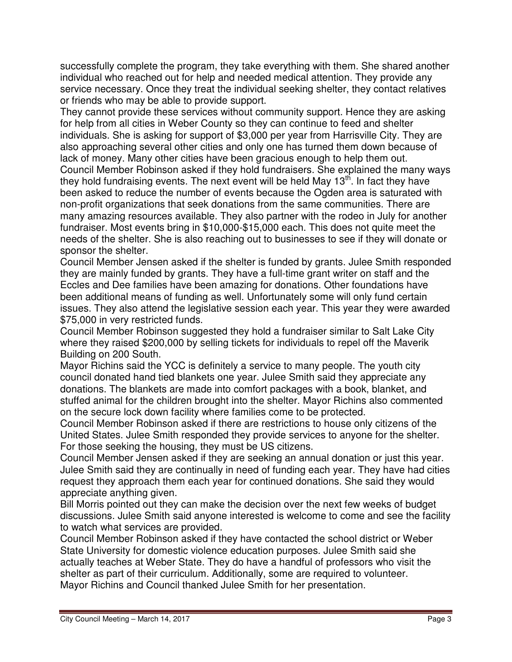successfully complete the program, they take everything with them. She shared another individual who reached out for help and needed medical attention. They provide any service necessary. Once they treat the individual seeking shelter, they contact relatives or friends who may be able to provide support.

They cannot provide these services without community support. Hence they are asking for help from all cities in Weber County so they can continue to feed and shelter individuals. She is asking for support of \$3,000 per year from Harrisville City. They are also approaching several other cities and only one has turned them down because of lack of money. Many other cities have been gracious enough to help them out. Council Member Robinson asked if they hold fundraisers. She explained the many ways they hold fundraising events. The next event will be held May 13<sup>th</sup>. In fact they have been asked to reduce the number of events because the Ogden area is saturated with non-profit organizations that seek donations from the same communities. There are many amazing resources available. They also partner with the rodeo in July for another fundraiser. Most events bring in \$10,000-\$15,000 each. This does not quite meet the needs of the shelter. She is also reaching out to businesses to see if they will donate or sponsor the shelter.

Council Member Jensen asked if the shelter is funded by grants. Julee Smith responded they are mainly funded by grants. They have a full-time grant writer on staff and the Eccles and Dee families have been amazing for donations. Other foundations have been additional means of funding as well. Unfortunately some will only fund certain issues. They also attend the legislative session each year. This year they were awarded \$75,000 in very restricted funds.

Council Member Robinson suggested they hold a fundraiser similar to Salt Lake City where they raised \$200,000 by selling tickets for individuals to repel off the Maverik Building on 200 South.

Mayor Richins said the YCC is definitely a service to many people. The youth city council donated hand tied blankets one year. Julee Smith said they appreciate any donations. The blankets are made into comfort packages with a book, blanket, and stuffed animal for the children brought into the shelter. Mayor Richins also commented on the secure lock down facility where families come to be protected.

Council Member Robinson asked if there are restrictions to house only citizens of the United States. Julee Smith responded they provide services to anyone for the shelter. For those seeking the housing, they must be US citizens.

Council Member Jensen asked if they are seeking an annual donation or just this year. Julee Smith said they are continually in need of funding each year. They have had cities request they approach them each year for continued donations. She said they would appreciate anything given.

Bill Morris pointed out they can make the decision over the next few weeks of budget discussions. Julee Smith said anyone interested is welcome to come and see the facility to watch what services are provided.

Council Member Robinson asked if they have contacted the school district or Weber State University for domestic violence education purposes. Julee Smith said she actually teaches at Weber State. They do have a handful of professors who visit the shelter as part of their curriculum. Additionally, some are required to volunteer. Mayor Richins and Council thanked Julee Smith for her presentation.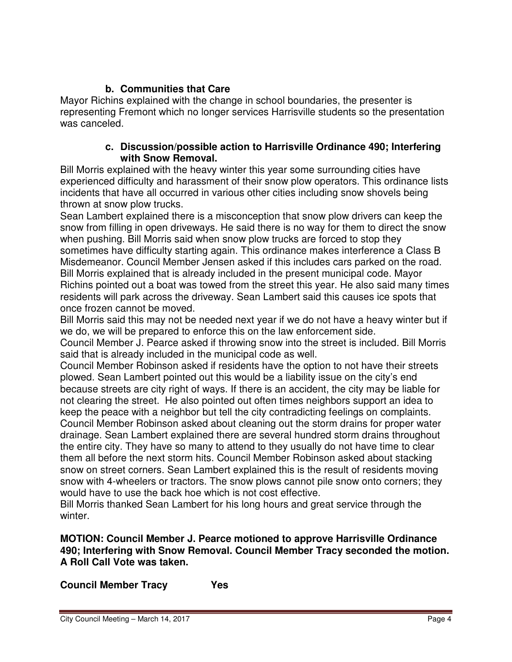# **b. Communities that Care**

Mayor Richins explained with the change in school boundaries, the presenter is representing Fremont which no longer services Harrisville students so the presentation was canceled.

### **c. Discussion/possible action to Harrisville Ordinance 490; Interfering with Snow Removal.**

Bill Morris explained with the heavy winter this year some surrounding cities have experienced difficulty and harassment of their snow plow operators. This ordinance lists incidents that have all occurred in various other cities including snow shovels being thrown at snow plow trucks.

Sean Lambert explained there is a misconception that snow plow drivers can keep the snow from filling in open driveways. He said there is no way for them to direct the snow when pushing. Bill Morris said when snow plow trucks are forced to stop they sometimes have difficulty starting again. This ordinance makes interference a Class B Misdemeanor. Council Member Jensen asked if this includes cars parked on the road. Bill Morris explained that is already included in the present municipal code. Mayor Richins pointed out a boat was towed from the street this year. He also said many times residents will park across the driveway. Sean Lambert said this causes ice spots that once frozen cannot be moved.

Bill Morris said this may not be needed next year if we do not have a heavy winter but if we do, we will be prepared to enforce this on the law enforcement side.

Council Member J. Pearce asked if throwing snow into the street is included. Bill Morris said that is already included in the municipal code as well.

Council Member Robinson asked if residents have the option to not have their streets plowed. Sean Lambert pointed out this would be a liability issue on the city's end because streets are city right of ways. If there is an accident, the city may be liable for not clearing the street. He also pointed out often times neighbors support an idea to keep the peace with a neighbor but tell the city contradicting feelings on complaints. Council Member Robinson asked about cleaning out the storm drains for proper water drainage. Sean Lambert explained there are several hundred storm drains throughout the entire city. They have so many to attend to they usually do not have time to clear them all before the next storm hits. Council Member Robinson asked about stacking snow on street corners. Sean Lambert explained this is the result of residents moving snow with 4-wheelers or tractors. The snow plows cannot pile snow onto corners; they would have to use the back hoe which is not cost effective.

Bill Morris thanked Sean Lambert for his long hours and great service through the winter.

# **MOTION: Council Member J. Pearce motioned to approve Harrisville Ordinance 490; Interfering with Snow Removal. Council Member Tracy seconded the motion. A Roll Call Vote was taken.**

**Council Member Tracy Yes**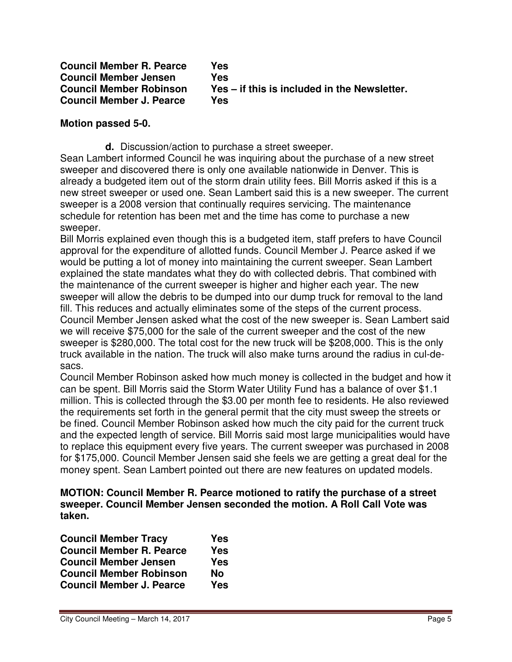| <b>Council Member R. Pearce</b> | Yes                                          |
|---------------------------------|----------------------------------------------|
| <b>Council Member Jensen</b>    | Yes                                          |
| <b>Council Member Robinson</b>  | Yes – if this is included in the Newsletter. |
| <b>Council Member J. Pearce</b> | Yes                                          |

### **Motion passed 5-0.**

**d.** Discussion/action to purchase a street sweeper.

Sean Lambert informed Council he was inquiring about the purchase of a new street sweeper and discovered there is only one available nationwide in Denver. This is already a budgeted item out of the storm drain utility fees. Bill Morris asked if this is a new street sweeper or used one. Sean Lambert said this is a new sweeper. The current sweeper is a 2008 version that continually requires servicing. The maintenance schedule for retention has been met and the time has come to purchase a new sweeper.

Bill Morris explained even though this is a budgeted item, staff prefers to have Council approval for the expenditure of allotted funds. Council Member J. Pearce asked if we would be putting a lot of money into maintaining the current sweeper. Sean Lambert explained the state mandates what they do with collected debris. That combined with the maintenance of the current sweeper is higher and higher each year. The new sweeper will allow the debris to be dumped into our dump truck for removal to the land fill. This reduces and actually eliminates some of the steps of the current process. Council Member Jensen asked what the cost of the new sweeper is. Sean Lambert said we will receive \$75,000 for the sale of the current sweeper and the cost of the new sweeper is \$280,000. The total cost for the new truck will be \$208,000. This is the only truck available in the nation. The truck will also make turns around the radius in cul-desacs.

Council Member Robinson asked how much money is collected in the budget and how it can be spent. Bill Morris said the Storm Water Utility Fund has a balance of over \$1.1 million. This is collected through the \$3.00 per month fee to residents. He also reviewed the requirements set forth in the general permit that the city must sweep the streets or be fined. Council Member Robinson asked how much the city paid for the current truck and the expected length of service. Bill Morris said most large municipalities would have to replace this equipment every five years. The current sweeper was purchased in 2008 for \$175,000. Council Member Jensen said she feels we are getting a great deal for the money spent. Sean Lambert pointed out there are new features on updated models.

**MOTION: Council Member R. Pearce motioned to ratify the purchase of a street sweeper. Council Member Jensen seconded the motion. A Roll Call Vote was taken.** 

| <b>Council Member Tracy</b>     | <b>Yes</b> |
|---------------------------------|------------|
| <b>Council Member R. Pearce</b> | <b>Yes</b> |
| <b>Council Member Jensen</b>    | <b>Yes</b> |
| <b>Council Member Robinson</b>  | <b>No</b>  |
| <b>Council Member J. Pearce</b> | <b>Yes</b> |